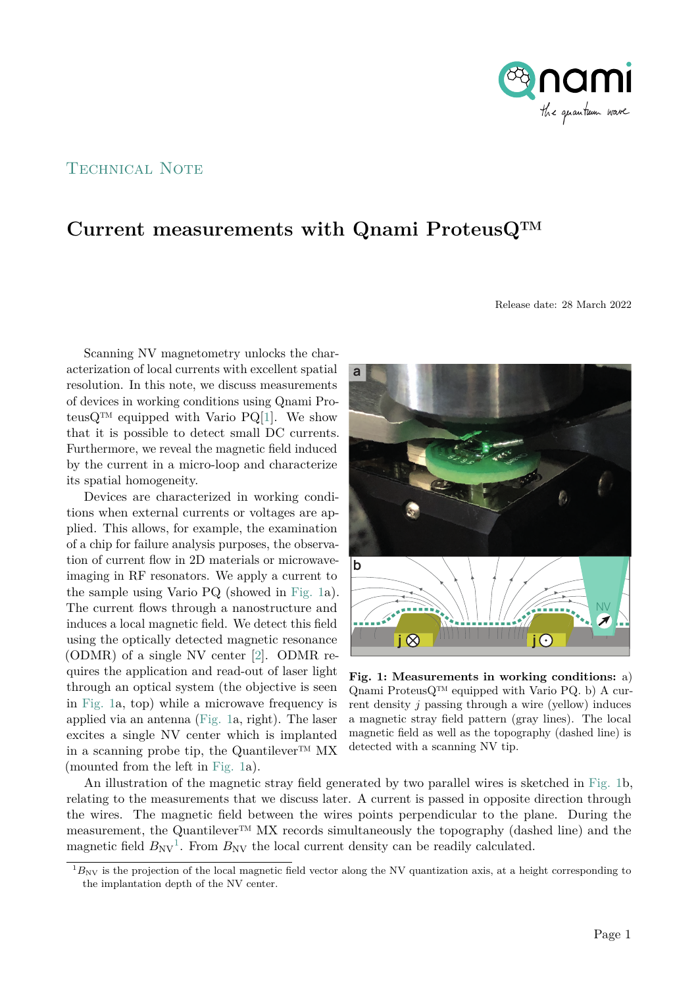

## TECHNICAL NOTE

## **Current measurements with Qnami ProteusQ™**

Release date: 28 March 2022

Scanning NV magnetometry unlocks the characterization of local currents with excellent spatial resolution. In this note, we discuss measurements of devices in working conditions using Qnami Proteus $Q^{TM}$  equipped with Vario PQ[\[1\]](#page-2-0). We show that it is possible to detect small DC currents. Furthermore, we reveal the magnetic field induced by the current in a micro-loop and characterize its spatial homogeneity.

Devices are characterized in working conditions when external currents or voltages are applied. This allows, for example, the examination of a chip for failure analysis purposes, the observation of current flow in 2D materials or microwaveimaging in RF resonators. We apply a current to the sample using Vario PQ (showed in [Fig. 1a](#page-0-0)). The current flows through a nanostructure and induces a local magnetic field. We detect this field using the optically detected magnetic resonance (ODMR) of a single NV center [\[2\]](#page-2-1). ODMR requires the application and read-out of laser light through an optical system (the objective is seen in [Fig. 1a](#page-0-0), top) while a microwave frequency is applied via an antenna [\(Fig. 1a](#page-0-0), right). The laser excites a single NV center which is implanted in a scanning probe tip, the Quantilever™ MX (mounted from the left in [Fig. 1a](#page-0-0)).

<span id="page-0-0"></span>

**Fig. 1: Measurements in working conditions:** a) Qnami ProteusQ™ equipped with Vario PQ. b) A current density *j* passing through a wire (yellow) induces a magnetic stray field pattern (gray lines). The local magnetic field as well as the topography (dashed line) is detected with a scanning NV tip.

An illustration of the magnetic stray field generated by two parallel wires is sketched in [Fig. 1b](#page-0-0), relating to the measurements that we discuss later. A current is passed in opposite direction through the wires. The magnetic field between the wires points perpendicular to the plane. During the measurement, the Quantilever™ MX records simultaneously the topography (dashed line) and the magnetic field  $B_{\text{NV}}^1$ . From  $B_{\text{NV}}$  the local current density can be readily calculated.

 $1_{B_{\rm NV}}$  is the projection of the local magnetic field vector along the NV quantization axis, at a height corresponding to the implantation depth of the NV center.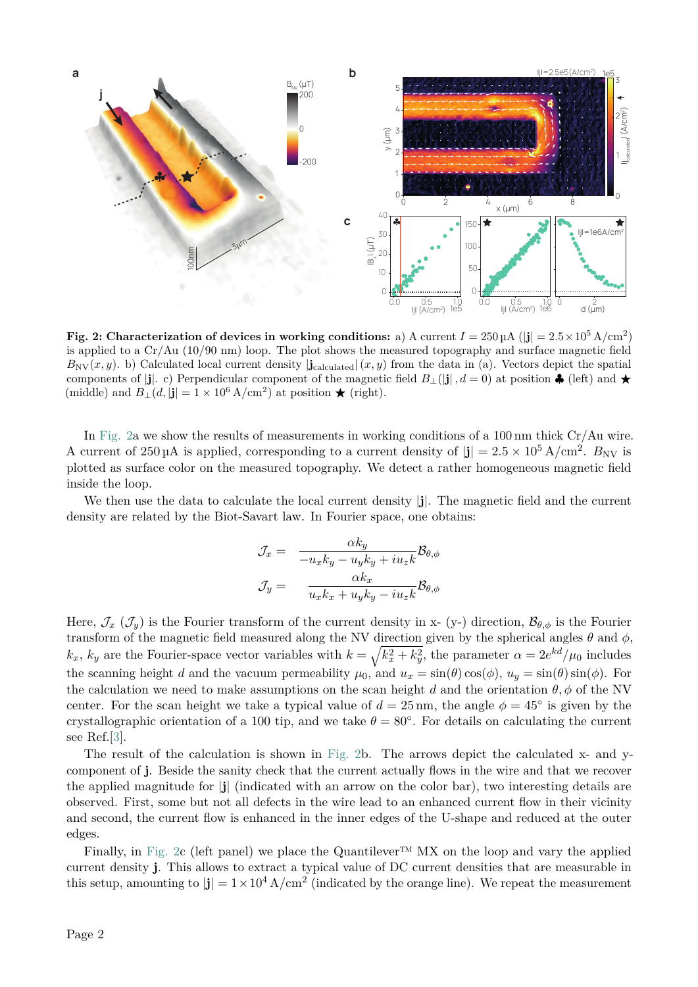<span id="page-1-0"></span>

**Fig. 2: Characterization of devices in working conditions:** a) A current  $I = 250 \,\mu\text{A}$  (|**j**| =  $2.5 \times 10^5 \,\text{A/cm}^2$ ) is applied to a Cr/Au (10/90 nm) loop. The plot shows the measured topography and surface magnetic field  $B_{\text{NV}}(x, y)$ . b) Calculated local current density  $|\mathbf{j}_{\text{calculated}}|(x, y)$  from the data in (a). Vectors depict the spatial components of  $|j|$ . c) Perpendicular component of the magnetic field  $B_{\perp}(|j|, d = 0)$  at position  $\clubsuit$  (left) and  $\star$ (middle) and  $B_{\perp}(d, |\mathbf{j}| = 1 \times 10^6 \text{ A/cm}^2)$  at position  $\star$  (right).

In [Fig. 2a](#page-1-0) we show the results of measurements in working conditions of a 100 nm thick Cr/Au wire. A current of  $250 \mu A$  is applied, corresponding to a current density of  $|\mathbf{j}| = 2.5 \times 10^5 \text{ A/cm}^2$ .  $B_{\text{NV}}$  is plotted as surface color on the measured topography. We detect a rather homogeneous magnetic field inside the loop.

We then use the data to calculate the local current density |**j**|. The magnetic field and the current density are related by the Biot-Savart law. In Fourier space, one obtains:

$$
\mathcal{J}_x = \frac{\alpha k_y}{-u_x k_y - u_y k_y + i u_z k} \mathcal{B}_{\theta, \phi}
$$

$$
\mathcal{J}_y = \frac{\alpha k_x}{u_x k_x + u_y k_y - i u_z k} \mathcal{B}_{\theta, \phi}
$$

Here,  $\mathcal{J}_x$  ( $\mathcal{J}_y$ ) is the Fourier transform of the current density in x- (y-) direction,  $\mathcal{B}_{\theta,\phi}$  is the Fourier transform of the magnetic field measured along the NV direction given by the spherical angles  $\theta$  and  $\phi$ ,  $k_x$ ,  $k_y$  are the Fourier-space vector variables with  $k = \sqrt{k_x^2 + k_y^2}$ , the parameter  $\alpha = 2e^{kd}/\mu_0$  includes the scanning height *d* and the vacuum permeability  $\mu_0$ , and  $u_x = \sin(\theta) \cos(\phi)$ ,  $u_y = \sin(\theta) \sin(\phi)$ . For the calculation we need to make assumptions on the scan height *d* and the orientation  $\theta$ ,  $\phi$  of the NV center. For the scan height we take a typical value of  $d = 25 \text{ nm}$ , the angle  $\phi = 45^{\circ}$  is given by the crystallographic orientation of a 100 tip, and we take  $\theta = 80^\circ$ . For details on calculating the current see Ref.[\[3\]](#page-2-2).

The result of the calculation is shown in [Fig. 2b](#page-1-0). The arrows depict the calculated x- and ycomponent of **j**. Beside the sanity check that the current actually flows in the wire and that we recover the applied magnitude for |**j**| (indicated with an arrow on the color bar), two interesting details are observed. First, some but not all defects in the wire lead to an enhanced current flow in their vicinity and second, the current flow is enhanced in the inner edges of the U-shape and reduced at the outer edges.

Finally, in [Fig. 2c](#page-1-0) (left panel) we place the Quantilever<sup>™</sup> MX on the loop and vary the applied current density **j**. This allows to extract a typical value of DC current densities that are measurable in this setup, amounting to  $|\mathbf{j}| = 1 \times 10^4$  A/cm<sup>2</sup> (indicated by the orange line). We repeat the measurement